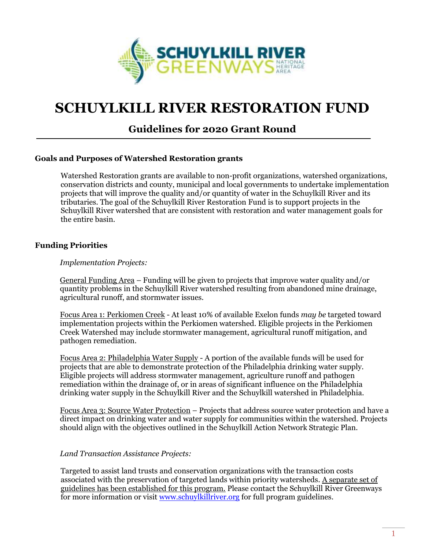

# **SCHUYLKILL RIVER RESTORATION FUND**

# **Guidelines for 2020 Grant Round**

# **Goals and Purposes of Watershed Restoration grants**

Watershed Restoration grants are available to non-profit organizations, watershed organizations, conservation districts and county, municipal and local governments to undertake implementation projects that will improve the quality and/or quantity of water in the Schuylkill River and its tributaries. The goal of the Schuylkill River Restoration Fund is to support projects in the Schuylkill River watershed that are consistent with restoration and water management goals for the entire basin.

#### **Funding Priorities**

#### *Implementation Projects:*

General Funding Area – Funding will be given to projects that improve water quality and/or quantity problems in the Schuylkill River watershed resulting from abandoned mine drainage, agricultural runoff, and stormwater issues.

Focus Area 1: Perkiomen Creek - At least 10% of available Exelon funds *may be* targeted toward implementation projects within the Perkiomen watershed. Eligible projects in the Perkiomen Creek Watershed may include stormwater management, agricultural runoff mitigation, and pathogen remediation.

Focus Area 2: Philadelphia Water Supply - A portion of the available funds will be used for projects that are able to demonstrate protection of the Philadelphia drinking water supply. Eligible projects will address stormwater management, agriculture runoff and pathogen remediation within the drainage of, or in areas of significant influence on the Philadelphia drinking water supply in the Schuylkill River and the Schuylkill watershed in Philadelphia.

Focus Area 3: Source Water Protection – Projects that address source water protection and have a direct impact on drinking water and water supply for communities within the watershed. Projects should align with the objectives outlined in the Schuylkill Action Network Strategic Plan.

#### *Land Transaction Assistance Projects:*

Targeted to assist land trusts and conservation organizations with the transaction costs associated with the preservation of targeted lands within priority watersheds. A separate set of guidelines has been established for this program. Please contact the Schuylkill River Greenways for more information or visit [www.schuylkillriver.org](http://www.schuylkillriver.org/) for full program guidelines.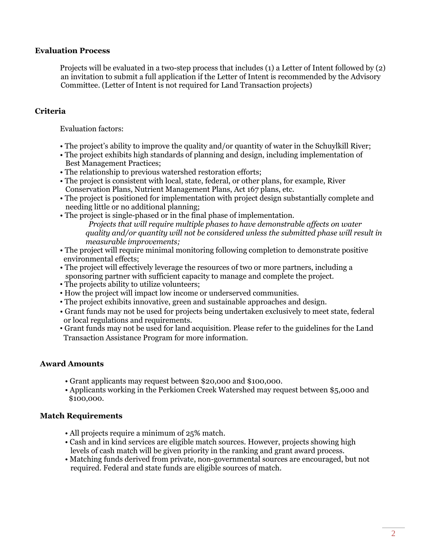#### **Evaluation Process**

Projects will be evaluated in a two-step process that includes (1) a Letter of Intent followed by (2) an invitation to submit a full application if the Letter of Intent is recommended by the Advisory Committee. (Letter of Intent is not required for Land Transaction projects)

# **Criteria**

Evaluation factors:

- The project's ability to improve the quality and/or quantity of water in the Schuylkill River;
- The project exhibits high standards of planning and design, including implementation of Best Management Practices;
- The relationship to previous watershed restoration efforts;
- The project is consistent with local, state, federal, or other plans, for example, River Conservation Plans, Nutrient Management Plans, Act 167 plans, etc.
- The project is positioned for implementation with project design substantially complete and needing little or no additional planning;
- The project is single-phased or in the final phase of implementation. *Projects that will require multiple phases to have demonstrable affects on water quality and/or quantity will not be considered unless the submitted phase will result in measurable improvements;*
- The project will require minimal monitoring following completion to demonstrate positive environmental effects;
- The project will effectively leverage the resources of two or more partners, including a sponsoring partner with sufficient capacity to manage and complete the project.
- The projects ability to utilize volunteers;
- How the project will impact low income or underserved communities.
- The project exhibits innovative, green and sustainable approaches and design.
- Grant funds may not be used for projects being undertaken exclusively to meet state, federal or local regulations and requirements.
- Grant funds may not be used for land acquisition. Please refer to the guidelines for the Land Transaction Assistance Program for more information.

# **Award Amounts**

- Grant applicants may request between \$20,000 and \$100,000.
- Applicants working in the Perkiomen Creek Watershed may request between \$5,000 and \$100,000.

# **Match Requirements**

- All projects require a minimum of 25% match.
- Cash and in kind services are eligible match sources. However, projects showing high levels of cash match will be given priority in the ranking and grant award process.
- Matching funds derived from private, non-governmental sources are encouraged, but not required. Federal and state funds are eligible sources of match.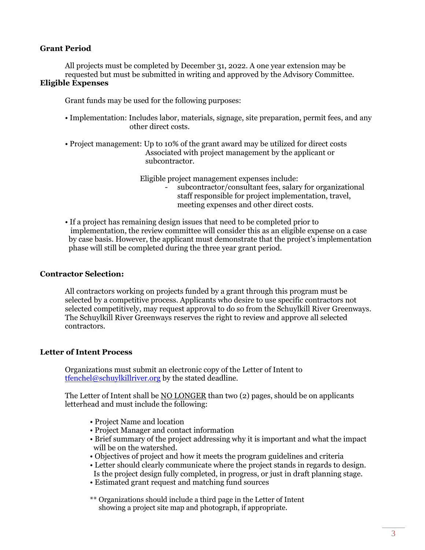# **Grant Period**

All projects must be completed by December 31, 2022. A one year extension may be requested but must be submitted in writing and approved by the Advisory Committee. **Eligible Expenses** 

Grant funds may be used for the following purposes:

- Implementation: Includes labor, materials, signage, site preparation, permit fees, and any other direct costs.
- Project management: Up to 10% of the grant award may be utilized for direct costs Associated with project management by the applicant or subcontractor.

Eligible project management expenses include: - subcontractor/consultant fees, salary for organizational staff responsible for project implementation, travel, meeting expenses and other direct costs.

• If a project has remaining design issues that need to be completed prior to implementation, the review committee will consider this as an eligible expense on a case by case basis. However, the applicant must demonstrate that the project's implementation phase will still be completed during the three year grant period.

#### **Contractor Selection:**

All contractors working on projects funded by a grant through this program must be selected by a competitive process. Applicants who desire to use specific contractors not selected competitively, may request approval to do so from the Schuylkill River Greenways. The Schuylkill River Greenways reserves the right to review and approve all selected contractors.

#### **Letter of Intent Process**

Organizations must submit an electronic copy of the Letter of Intent to [tfenchel@schuylkillriver.org](mailto:tfenchel@schuylkillriver.org) by the stated deadline.

The Letter of Intent shall be NO LONGER than two (2) pages, should be on applicants letterhead and must include the following:

- Project Name and location
- Project Manager and contact information
- Brief summary of the project addressing why it is important and what the impact will be on the watershed.
- Objectives of project and how it meets the program guidelines and criteria
- Letter should clearly communicate where the project stands in regards to design. Is the project design fully completed, in progress, or just in draft planning stage.
- Estimated grant request and matching fund sources
- \*\* Organizations should include a third page in the Letter of Intent showing a project site map and photograph, if appropriate.